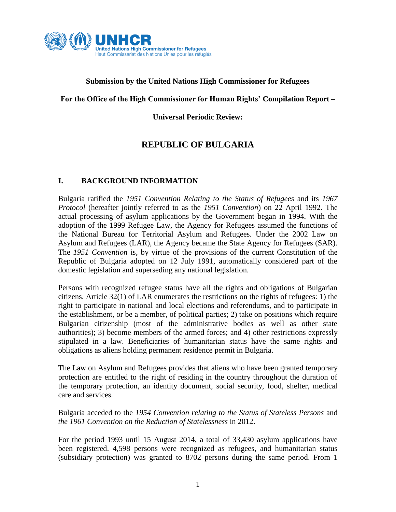

### **Submission by the United Nations High Commissioner for Refugees**

#### **For the Office of the High Commissioner for Human Rights' Compilation Report –**

**Universal Periodic Review:**

# **REPUBLIC OF BULGARIA**

#### **I. BACKGROUND INFORMATION**

Bulgaria ratified the *1951 Convention Relating to the Status of Refugees* and its *1967 Protocol* (hereafter jointly referred to as the *1951 Convention*) on 22 April 1992. The actual processing of asylum applications by the Government began in 1994. With the adoption of the 1999 Refugee Law, the Agency for Refugees assumed the functions of the National Bureau for Territorial Asylum and Refugees. Under the 2002 Law on Asylum and Refugees (LAR), the Agency became the State Agency for Refugees (SAR). The *1951 Convention* is, by virtue of the provisions of the current Constitution of the Republic of Bulgaria adopted on 12 July 1991, automatically considered part of the domestic legislation and superseding any national legislation.

Persons with recognized refugee status have all the rights and obligations of Bulgarian citizens. Article 32(1) of LAR enumerates the restrictions on the rights of refugees: 1) the right to participate in national and local elections and referendums, and to participate in the establishment, or be a member, of political parties; 2) take on positions which require Bulgarian citizenship (most of the administrative bodies as well as other state authorities); 3) become members of the armed forces; and 4) other restrictions expressly stipulated in a law. Beneficiaries of humanitarian status have the same rights and obligations as aliens holding permanent residence permit in Bulgaria.

The Law on Asylum and Refugees provides that aliens who have been granted temporary protection are entitled to the right of residing in the country throughout the duration of the temporary protection, an identity document, social security, food, shelter, medical care and services.

## Bulgaria acceded to the *1954 Convention relating to the Status of Stateless Persons* and *the 1961 Convention on the Reduction of Statelessness* in 2012.

For the period 1993 until 15 August 2014, a total of 33,430 asylum applications have been registered. 4,598 persons were recognized as refugees, and humanitarian status (subsidiary protection) was granted to 8702 persons during the same period. From 1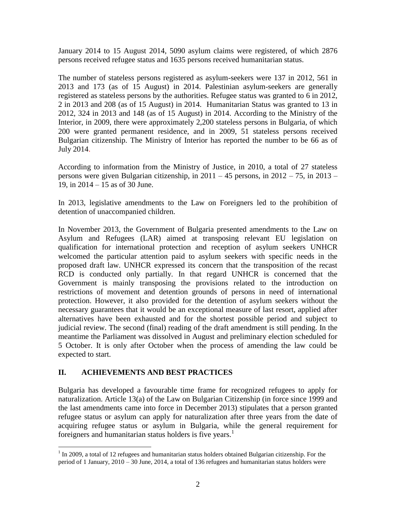January 2014 to 15 August 2014, 5090 asylum claims were registered, of which 2876 persons received refugee status and 1635 persons received humanitarian status.

The number of stateless persons registered as asylum-seekers were 137 in 2012, 561 in 2013 and 173 (as of 15 August) in 2014. Palestinian asylum-seekers are generally registered as stateless persons by the authorities. Refugee status was granted to 6 in 2012, 2 in 2013 and 208 (as of 15 August) in 2014. Humanitarian Status was granted to 13 in 2012, 324 in 2013 and 148 (as of 15 August) in 2014. According to the Ministry of the Interior, in 2009, there were approximately 2,200 stateless persons in Bulgaria, of which 200 were granted permanent residence, and in 2009, 51 stateless persons received Bulgarian citizenship. The Ministry of Interior has reported the number to be 66 as of July 2014.

According to information from the Ministry of Justice, in 2010, a total of 27 stateless persons were given Bulgarian citizenship, in 2011 – 45 persons, in 2012 – 75, in 2013 – 19, in 2014 – 15 as of 30 June.

In 2013, legislative amendments to the Law on Foreigners led to the prohibition of detention of unaccompanied children.

In November 2013, the Government of Bulgaria presented amendments to the Law on Asylum and Refugees (LAR) aimed at transposing relevant EU legislation on qualification for international protection and reception of asylum seekers UNHCR welcomed the particular attention paid to asylum seekers with specific needs in the proposed draft law. UNHCR expressed its concern that the transposition of the recast RCD is conducted only partially. In that regard UNHCR is concerned that the Government is mainly transposing the provisions related to the introduction on restrictions of movement and detention grounds of persons in need of international protection. However, it also provided for the detention of asylum seekers without the necessary guarantees that it would be an exceptional measure of last resort, applied after alternatives have been exhausted and for the shortest possible period and subject to judicial review. The second (final) reading of the draft amendment is still pending. In the meantime the Parliament was dissolved in August and preliminary election scheduled for 5 October. It is only after October when the process of amending the law could be expected to start.

## **II. ACHIEVEMENTS AND BEST PRACTICES**

 $\overline{a}$ 

Bulgaria has developed a favourable time frame for recognized refugees to apply for naturalization. Article 13(a) of the Law on Bulgarian Citizenship (in force since 1999 and the last amendments came into force in December 2013) stipulates that a person granted refugee status or asylum can apply for naturalization after three years from the date of acquiring refugee status or asylum in Bulgaria, while the general requirement for foreigners and humanitarian status holders is five years.<sup>1</sup>

 $1$  In 2009, a total of 12 refugees and humanitarian status holders obtained Bulgarian citizenship. For the period of 1 January, 2010 – 30 June, 2014, a total of 136 refugees and humanitarian status holders were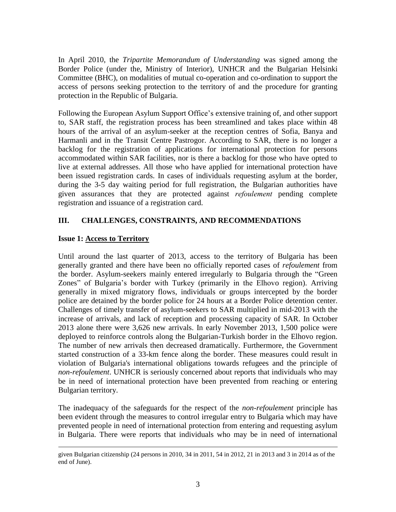In April 2010, the *Tripartite Memorandum of Understanding* was signed among the Border Police (under the, Ministry of Interior), UNHCR and the Bulgarian Helsinki Committee (BHC), on modalities of mutual co-operation and co-ordination to support the access of persons seeking protection to the territory of and the procedure for granting protection in the Republic of Bulgaria.

Following the European Asylum Support Office's extensive training of, and other support to, SAR staff, the registration process has been streamlined and takes place within 48 hours of the arrival of an asylum-seeker at the reception centres of Sofia, Banya and Harmanli and in the Transit Centre Pastrogor. According to SAR, there is no longer a backlog for the registration of applications for international protection for persons accommodated within SAR facilities, nor is there a backlog for those who have opted to live at external addresses. All those who have applied for international protection have been issued registration cards. In cases of individuals requesting asylum at the border, during the 3-5 day waiting period for full registration, the Bulgarian authorities have given assurances that they are protected against *refoulement* pending complete registration and issuance of a registration card.

## **III. CHALLENGES, CONSTRAINTS, AND RECOMMENDATIONS**

### **Issue 1: Access to Territory**

 $\overline{a}$ 

Until around the last quarter of 2013, access to the territory of Bulgaria has been generally granted and there have been no officially reported cases of *refoulement* from the border. Asylum-seekers mainly entered irregularly to Bulgaria through the "Green Zones" of Bulgaria's border with Turkey (primarily in the Elhovo region). Arriving generally in mixed migratory flows, individuals or groups intercepted by the border police are detained by the border police for 24 hours at a Border Police detention center. Challenges of timely transfer of asylum-seekers to SAR multiplied in mid-2013 with the increase of arrivals, and lack of reception and processing capacity of SAR. In October 2013 alone there were 3,626 new arrivals. In early November 2013, 1,500 police were deployed to reinforce controls along the Bulgarian-Turkish border in the Elhovo region. The number of new arrivals then decreased dramatically. Furthermore, the Government started construction of a 33-km fence along the border. These measures could result in violation of Bulgaria's international obligations towards refugees and the principle of *non-refoulement*. UNHCR is seriously concerned about reports that individuals who may be in need of international protection have been prevented from reaching or entering Bulgarian territory.

The inadequacy of the safeguards for the respect of the *non-refoulement* principle has been evident through the measures to control irregular entry to Bulgaria which may have prevented people in need of international protection from entering and requesting asylum in Bulgaria. There were reports that individuals who may be in need of international

given Bulgarian citizenship (24 persons in 2010, 34 in 2011, 54 in 2012, 21 in 2013 and 3 in 2014 as of the end of June).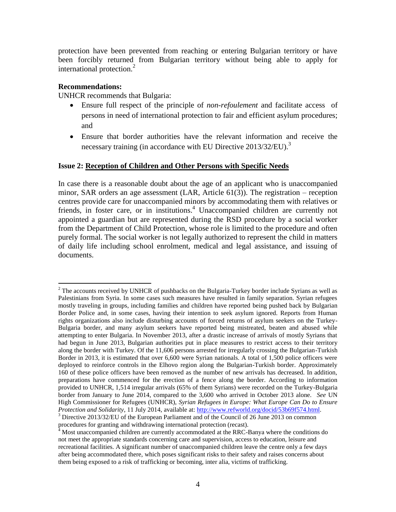protection have been prevented from reaching or entering Bulgarian territory or have been forcibly returned from Bulgarian territory without being able to apply for international protection.<sup>2</sup>

#### **Recommendations:**

UNHCR recommends that Bulgaria:

- Ensure full respect of the principle of *non-refoulement* and facilitate access of persons in need of international protection to fair and efficient asylum procedures; and
- Ensure that border authorities have the relevant information and receive the necessary training (in accordance with EU Directive 2013/32/EU).<sup>3</sup>

#### **Issue 2: Reception of Children and Other Persons with Specific Needs**

In case there is a reasonable doubt about the age of an applicant who is unaccompanied minor, SAR orders an age assessment (LAR, Article 61(3)). The registration – reception centres provide care for unaccompanied minors by accommodating them with relatives or friends, in foster care, or in institutions.<sup>4</sup> Unaccompanied children are currently not appointed a guardian but are represented during the RSD procedure by a social worker from the Department of Child Protection, whose role is limited to the procedure and often purely formal. The social worker is not legally authorized to represent the child in matters of daily life including school enrolment, medical and legal assistance, and issuing of documents.

 $\overline{a}$  $<sup>2</sup>$  The accounts received by UNHCR of pushbacks on the Bulgaria-Turkey border include Syrians as well as</sup> Palestinians from Syria. In some cases such measures have resulted in family separation. Syrian refugees mostly traveling in groups, including families and children have reported being pushed back by Bulgarian Border Police and, in some cases, having their intention to seek asylum ignored. Reports from Human rights organizations also include disturbing accounts of forced returns of asylum seekers on the Turkey-Bulgaria border, and many asylum seekers have reported being mistreated, beaten and abused while attempting to enter Bulgaria. In November 2013, after a drastic increase of arrivals of mostly Syrians that had begun in June 2013, Bulgarian authorities put in place measures to restrict access to their territory along the border with Turkey. Of the 11,606 persons arrested for irregularly crossing the Bulgarian-Turkish Border in 2013, it is estimated that over 6,600 were Syrian nationals. A total of 1,500 police officers were deployed to reinforce controls in the Elhovo region along the Bulgarian-Turkish border. Approximately 160 of these police officers have been removed as the number of new arrivals has decreased. In addition, preparations have commenced for the erection of a fence along the border. According to information provided to UNHCR, 1,514 irregular arrivals (65% of them Syrians) were recorded on the Turkey-Bulgaria border from January to June 2014, compared to the 3,600 who arrived in October 2013 alone. *See* UN High Commissioner for Refugees (UNHCR), *Syrian Refugees in Europe: What Europe Can Do to Ensure Protection and Solidarity*, 11 July 2014, available at: [http://www.refworld.org/docid/53b69f574.html.](http://www.refworld.org/docid/53b69f574.html) <sup>3</sup> Directive 2013/32/EU of the European Parliament and of the Council of 26 June 2013 on common

procedures for granting and withdrawing international protection (recast).

<sup>4</sup> Most unaccompanied children are currently accommodated at the RRC-Banya where the conditions do not meet the appropriate standards concerning care and supervision, access to education, leisure and recreational facilities. A significant number of unaccompanied children leave the centre only a few days after being accommodated there, which poses significant risks to their safety and raises concerns about them being exposed to a risk of trafficking or becoming, inter alia, victims of trafficking.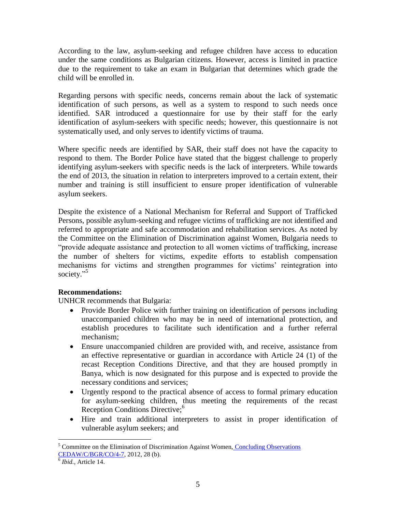According to the law, asylum-seeking and refugee children have access to education under the same conditions as Bulgarian citizens. However, access is limited in practice due to the requirement to take an exam in Bulgarian that determines which grade the child will be enrolled in.

Regarding persons with specific needs, concerns remain about the lack of systematic identification of such persons, as well as a system to respond to such needs once identified. SAR introduced a questionnaire for use by their staff for the early identification of asylum-seekers with specific needs; however, this questionnaire is not systematically used, and only serves to identify victims of trauma.

Where specific needs are identified by SAR, their staff does not have the capacity to respond to them. The Border Police have stated that the biggest challenge to properly identifying asylum-seekers with specific needs is the lack of interpreters. While towards the end of 2013, the situation in relation to interpreters improved to a certain extent, their number and training is still insufficient to ensure proper identification of vulnerable asylum seekers.

Despite the existence of a National Mechanism for Referral and Support of Trafficked Persons, possible asylum-seeking and refugee victims of trafficking are not identified and referred to appropriate and safe accommodation and rehabilitation services. As noted by the Committee on the Elimination of Discrimination against Women, Bulgaria needs to "provide adequate assistance and protection to all women victims of trafficking, increase the number of shelters for victims, expedite efforts to establish compensation mechanisms for victims and strengthen programmes for victims' reintegration into society."<sup>5</sup>

#### **Recommendations:**

UNHCR recommends that Bulgaria:

- Provide Border Police with further training on identification of persons including unaccompanied children who may be in need of international protection, and establish procedures to facilitate such identification and a further referral mechanism;
- Ensure unaccompanied children are provided with, and receive, assistance from an effective representative or guardian in accordance with Article 24 (1) of the recast Reception Conditions Directive, and that they are housed promptly in Banya, which is now designated for this purpose and is expected to provide the necessary conditions and services;
- Urgently respond to the practical absence of access to formal primary education for asylum-seeking children, thus meeting the requirements of the recast Reception Conditions Directive;<sup>6</sup>
- Hire and train additional interpreters to assist in proper identification of vulnerable asylum seekers; and

 $\overline{a}$  $<sup>5</sup>$  Committee on the Elimination of Discrimination Against Women, Concluding Observations</sup> [CEDAW/C/BGR/CO/4-7,](http://www2.ohchr.org/english/bodies/cedaw/docs/co/CEDAW-C-BGR-CO-4-7.pdf) 2012, 28 (b).

<sup>6</sup> *Ibid.*, Article 14.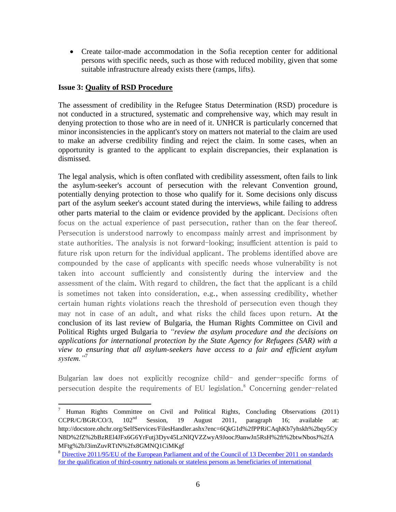Create tailor-made accommodation in the Sofia reception center for additional persons with specific needs, such as those with reduced mobility, given that some suitable infrastructure already exists there (ramps, lifts).

## **Issue 3: Quality of RSD Procedure**

 $\overline{a}$ 

The assessment of credibility in the Refugee Status Determination (RSD) procedure is not conducted in a structured, systematic and comprehensive way, which may result in denying protection to those who are in need of it. UNHCR is particularly concerned that minor inconsistencies in the applicant's story on matters not material to the claim are used to make an adverse credibility finding and reject the claim. In some cases, when an opportunity is granted to the applicant to explain discrepancies, their explanation is dismissed.

The legal analysis, which is often conflated with credibility assessment, often fails to link the asylum-seeker's account of persecution with the relevant Convention ground, potentially denying protection to those who qualify for it. Some decisions only discuss part of the asylum seeker's account stated during the interviews, while failing to address other parts material to the claim or evidence provided by the applicant. Decisions often focus on the actual experience of past persecution, rather than on the fear thereof. Persecution is understood narrowly to encompass mainly arrest and imprisonment by state authorities. The analysis is not forward-looking; insufficient attention is paid to future risk upon return for the individual applicant. The problems identified above are compounded by the case of applicants with specific needs whose vulnerability is not taken into account sufficiently and consistently during the interview and the assessment of the claim. With regard to children, the fact that the applicant is a child is sometimes not taken into consideration, e.g., when assessing credibility, whether certain human rights violations reach the threshold of persecution even though they may not in case of an adult, and what risks the child faces upon return. At the conclusion of its last review of Bulgaria, the Human Rights Committee on Civil and Political Rights urged Bulgaria to *"review the asylum procedure and the decisions on applications for international protection by the State Agency for Refugees (SAR) with a view to ensuring that all asylum-seekers have access to a fair and efficient asylum system."*<sup>7</sup>

Bulgarian law does not explicitly recognize child- and gender-specific forms of persecution despite the requirements of EU legislation. <sup>8</sup> Concerning gender-related

<sup>7</sup> Human Rights Committee on Civil and Political Rights, Concluding Observations (2011) CCPR/C/BGR/CO/3, 102nd Session, 19 August 2011, paragraph 16; available at: http://docstore.ohchr.org/SelfServices/FilesHandler.ashx?enc=6QkG1d%2fPPRiCAqhKb7yhskh%2bqy5Cy N8D%2fZ%2bBzREl4JFx6G6YrFutj3Dyv45LzNlQVZZwyA9JoocJ9anwJn5RsH%2ft%2btwNbosJ%2fA MFtg%2bJ3imZuvRTtN%2fx8GMNQ1CiMKgf

<sup>8</sup> [Directive 2011/95/EU of the European Parliament and of the Council of 13 December 2011 on standards](http://eur-lex.europa.eu/legal-content/EN/TXT/PDF/?uri=CELEX:32011L0095&from=EN)  [for the qualification of third-country nationals or stateless persons as beneficiaries of international](http://eur-lex.europa.eu/legal-content/EN/TXT/PDF/?uri=CELEX:32011L0095&from=EN)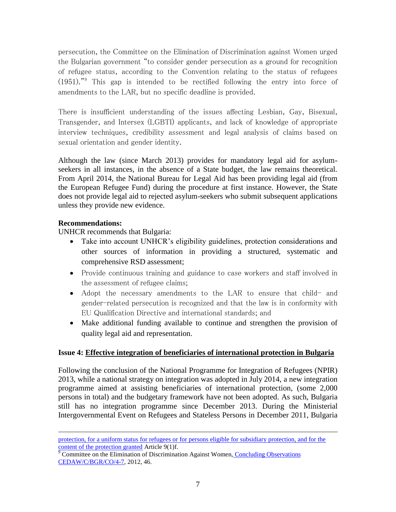persecution, the Committee on the Elimination of Discrimination against Women urged the Bulgarian government "to consider gender persecution as a ground for recognition of refugee status, according to the Convention relating to the status of refugees  $(1951)$ ." This gap is intended to be rectified following the entry into force of amendments to the LAR, but no specific deadline is provided.

There is insufficient understanding of the issues affecting Lesbian, Gay, Bisexual, Transgender, and Intersex (LGBTI) applicants, and lack of knowledge of appropriate interview techniques, credibility assessment and legal analysis of claims based on sexual orientation and gender identity.

Although the law (since March 2013) provides for mandatory legal aid for asylumseekers in all instances, in the absence of a State budget, the law remains theoretical. From April 2014, the National Bureau for Legal Aid has been providing legal aid (from the European Refugee Fund) during the procedure at first instance. However, the State does not provide legal aid to rejected asylum-seekers who submit subsequent applications unless they provide new evidence.

## **Recommendations:**

 $\overline{a}$ 

UNHCR recommends that Bulgaria:

- Take into account UNHCR's eligibility guidelines, protection considerations and other sources of information in providing a structured, systematic and comprehensive RSD assessment;
- Provide continuous training and guidance to case workers and staff involved in the assessment of refugee claims;
- Adopt the necessary amendments to the LAR to ensure that child- and gender-related persecution is recognized and that the law is in conformity with EU Qualification Directive and international standards; and
- Make additional funding available to continue and strengthen the provision of quality legal aid and representation.

## **Issue 4: Effective integration of beneficiaries of international protection in Bulgaria**

Following the conclusion of the National Programme for Integration of Refugees (NPIR) 2013, while a national strategy on integration was adopted in July 2014, a new integration programme aimed at assisting beneficiaries of international protection, (some 2,000 persons in total) and the budgetary framework have not been adopted. As such, Bulgaria still has no integration programme since December 2013. During the Ministerial Intergovernmental Event on Refugees and Stateless Persons in December 2011, Bulgaria

[protection, for a uniform status for refugees or for persons eligible for subsidiary protection, and for the](http://eur-lex.europa.eu/legal-content/EN/TXT/PDF/?uri=CELEX:32011L0095&from=EN)  [content of the protection granted](http://eur-lex.europa.eu/legal-content/EN/TXT/PDF/?uri=CELEX:32011L0095&from=EN) Article 9(1)f.

<sup>&</sup>lt;sup>9</sup> Committee on the Elimination of Discrimination Against Women, Concluding Observations [CEDAW/C/BGR/CO/4-7,](http://www2.ohchr.org/english/bodies/cedaw/docs/co/CEDAW-C-BGR-CO-4-7.pdf) 2012, 46.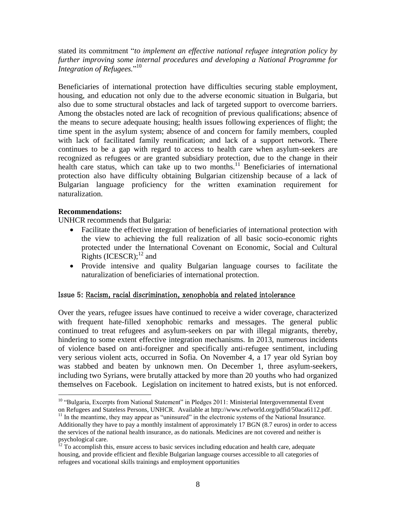stated its commitment "*to implement an effective national refugee integration policy by further improving some internal procedures and developing a National Programme for Integration of Refugees.*" 10

Beneficiaries of international protection have difficulties securing stable employment, housing, and education not only due to the adverse economic situation in Bulgaria, but also due to some structural obstacles and lack of targeted support to overcome barriers. Among the obstacles noted are lack of recognition of previous qualifications; absence of the means to secure adequate housing; health issues following experiences of flight; the time spent in the asylum system; absence of and concern for family members, coupled with lack of facilitated family reunification; and lack of a support network. There continues to be a gap with regard to access to health care when asylum-seekers are recognized as refugees or are granted subsidiary protection, due to the change in their health care status, which can take up to two months.<sup>11</sup> Beneficiaries of international protection also have difficulty obtaining Bulgarian citizenship because of a lack of Bulgarian language proficiency for the written examination requirement for naturalization.

### **Recommendations:**

 $\overline{a}$ 

UNHCR recommends that Bulgaria:

- Facilitate the effective integration of beneficiaries of international protection with the view to achieving the full realization of all basic socio-economic rights protected under the International Covenant on Economic, Social and Cultural Rights (ICESCR); $^{12}$  and
- Provide intensive and quality Bulgarian language courses to facilitate the naturalization of beneficiaries of international protection.

#### Issue 5: Racism, racial discrimination, xenophobia and related intolerance

Over the years, refugee issues have continued to receive a wider coverage, characterized with frequent hate-filled xenophobic remarks and messages. The general public continued to treat refugees and asylum-seekers on par with illegal migrants, thereby, hindering to some extent effective integration mechanisms. In 2013, numerous incidents of violence based on anti-foreigner and specifically anti-refugee sentiment, including very serious violent acts, occurred in Sofia. On November 4, a 17 year old Syrian boy was stabbed and beaten by unknown men. On December 1, three asylum-seekers, including two Syrians, were brutally attacked by more than 20 youths who had organized themselves on Facebook. Legislation on incitement to hatred exists, but is not enforced.

<sup>&</sup>lt;sup>10</sup> "Bulgaria, Excerpts from National Statement" in Pledges 2011: Ministerial Intergovernmental Event on Refugees and Stateless Persons, UNHCR. Available at http://www.refworld.org/pdfid/50aca6112.pdf.

 $<sup>11</sup>$  In the meantime, they may appear as "uninsured" in the electronic systems of the National Insurance.</sup> Additionally they have to pay a monthly instalment of approximately 17 BGN (8.7 euros) in order to access the services of the national health insurance, as do nationals. Medicines are not covered and neither is psychological care.

 $12$  To accomplish this, ensure access to basic services including education and health care, adequate housing, and provide efficient and flexible Bulgarian language courses accessible to all categories of refugees and vocational skills trainings and employment opportunities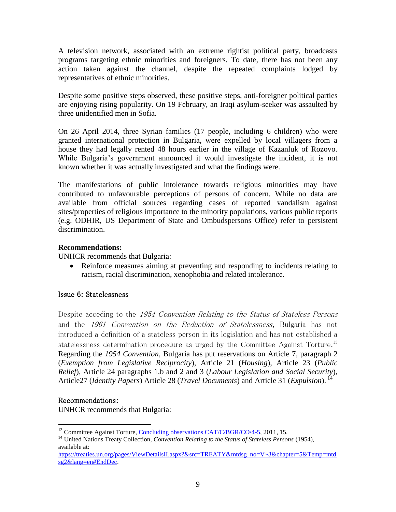A television network, associated with an extreme rightist political party, broadcasts programs targeting ethnic minorities and foreigners. To date, there has not been any action taken against the channel, despite the repeated complaints lodged by representatives of ethnic minorities.

Despite some positive steps observed, these positive steps, anti-foreigner political parties are enjoying rising popularity. On 19 February, an Iraqi asylum-seeker was assaulted by three unidentified men in Sofia.

On 26 April 2014, three Syrian families (17 people, including 6 children) who were granted international protection in Bulgaria, were expelled by local villagers from a house they had legally rented 48 hours earlier in the village of Kazanluk of Rozovo. While Bulgaria's government announced it would investigate the incident, it is not known whether it was actually investigated and what the findings were.

The manifestations of public intolerance towards religious minorities may have contributed to unfavourable perceptions of persons of concern. While no data are available from official sources regarding cases of reported vandalism against sites/properties of religious importance to the minority populations, various public reports (e.g. ODHIR, US Department of State and Ombudspersons Office) refer to persistent discrimination.

## **Recommendations:**

UNHCR recommends that Bulgaria:

 Reinforce measures aiming at preventing and responding to incidents relating to racism, racial discrimination, xenophobia and related intolerance.

## Issue 6: Statelessness

Despite acceding to the 1954 Convention Relating to the Status of Stateless Persons and the 1961 Convention on the Reduction of Statelessness, Bulgaria has not introduced a definition of a stateless person in its legislation and has not established a statelessness determination procedure as urged by the Committee Against Torture.<sup>13</sup> Regarding the *1954 Convention*, Bulgaria has put reservations on Article 7, paragraph 2 (*Exemption from Legislative Reciprocity*), Article 21 (*Housing*), Article 23 (*Public Relief*), Article 24 paragraphs 1.b and 2 and 3 (*Labour Legislation and Social Security*), Article27 (*Identity Papers*) Article 28 (*Travel Documents*) and Article 31 (*Expulsion*). <sup>14</sup>

## Recommendations:

 $\overline{a}$ 

UNHCR recommends that Bulgaria:

<sup>&</sup>lt;sup>13</sup> Committee Against Torture, [Concluding observations CAT/C/BGR/CO/4-5,](http://tbinternet.ohchr.org/_layouts/treatybodyexternal/Download.aspx?symbolno=CAT/C/BGR/CO/4-5&Lang=En) 2011, 15.

<sup>&</sup>lt;sup>14</sup> United Nations Treaty Collection, *Convention Relating to the Status of Stateless Persons* (1954), available at:

[https://treaties.un.org/pages/ViewDetailsII.aspx?&src=TREATY&mtdsg\\_no=V~3&chapter=5&Temp=mtd](https://treaties.un.org/pages/ViewDetailsII.aspx?&src=TREATY&mtdsg_no=V~3&chapter=5&Temp=mtdsg2&lang=en#EndDec) [sg2&lang=en#EndDec.](https://treaties.un.org/pages/ViewDetailsII.aspx?&src=TREATY&mtdsg_no=V~3&chapter=5&Temp=mtdsg2&lang=en#EndDec)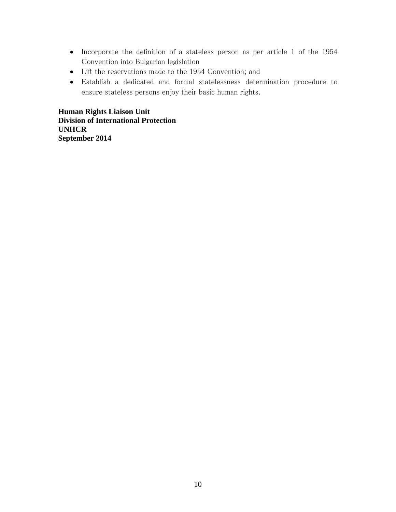- Incorporate the definition of a stateless person as per article 1 of the 1954 Convention into Bulgarian legislation
- Lift the reservations made to the 1954 Convention; and
- Establish a dedicated and formal statelessness determination procedure to ensure stateless persons enjoy their basic human rights.

**Human Rights Liaison Unit Division of International Protection UNHCR September 2014**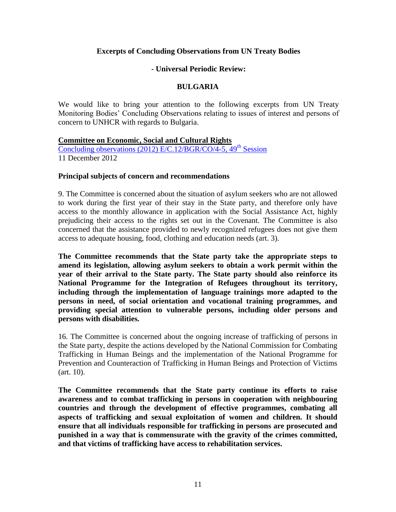### **Excerpts of Concluding Observations from UN Treaty Bodies**

#### **- Universal Periodic Review:**

### **BULGARIA**

We would like to bring your attention to the following excerpts from UN Treaty Monitoring Bodies' Concluding Observations relating to issues of interest and persons of concern to UNHCR with regards to Bulgaria.

#### **Committee on Economic, Social and Cultural Rights**

Concluding observations (2012) E/C.12/BGR/CO/4-5,  $49<sup>th</sup>$  Session 11 December 2012

#### **Principal subjects of concern and recommendations**

9. The Committee is concerned about the situation of asylum seekers who are not allowed to work during the first year of their stay in the State party, and therefore only have access to the monthly allowance in application with the Social Assistance Act, highly prejudicing their access to the rights set out in the Covenant. The Committee is also concerned that the assistance provided to newly recognized refugees does not give them access to adequate housing, food, clothing and education needs (art. 3).

**The Committee recommends that the State party take the appropriate steps to amend its legislation, allowing asylum seekers to obtain a work permit within the year of their arrival to the State party. The State party should also reinforce its National Programme for the Integration of Refugees throughout its territory, including through the implementation of language trainings more adapted to the persons in need, of social orientation and vocational training programmes, and providing special attention to vulnerable persons, including older persons and persons with disabilities.**

16. The Committee is concerned about the ongoing increase of trafficking of persons in the State party, despite the actions developed by the National Commission for Combating Trafficking in Human Beings and the implementation of the National Programme for Prevention and Counteraction of Trafficking in Human Beings and Protection of Victims (art. 10).

**The Committee recommends that the State party continue its efforts to raise awareness and to combat trafficking in persons in cooperation with neighbouring countries and through the development of effective programmes, combating all aspects of trafficking and sexual exploitation of women and children. It should ensure that all individuals responsible for trafficking in persons are prosecuted and punished in a way that is commensurate with the gravity of the crimes committed, and that victims of trafficking have access to rehabilitation services.**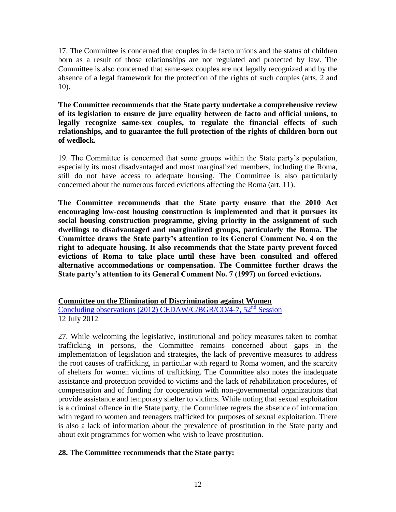17. The Committee is concerned that couples in de facto unions and the status of children born as a result of those relationships are not regulated and protected by law. The Committee is also concerned that same-sex couples are not legally recognized and by the absence of a legal framework for the protection of the rights of such couples (arts. 2 and 10).

**The Committee recommends that the State party undertake a comprehensive review of its legislation to ensure de jure equality between de facto and official unions, to legally recognize same-sex couples, to regulate the financial effects of such relationships, and to guarantee the full protection of the rights of children born out of wedlock.**

19. The Committee is concerned that some groups within the State party's population, especially its most disadvantaged and most marginalized members, including the Roma, still do not have access to adequate housing. The Committee is also particularly concerned about the numerous forced evictions affecting the Roma (art. 11).

**The Committee recommends that the State party ensure that the 2010 Act encouraging low-cost housing construction is implemented and that it pursues its social housing construction programme, giving priority in the assignment of such dwellings to disadvantaged and marginalized groups, particularly the Roma. The Committee draws the State party's attention to its General Comment No. 4 on the right to adequate housing. It also recommends that the State party prevent forced evictions of Roma to take place until these have been consulted and offered alternative accommodations or compensation. The Committee further draws the State party's attention to its General Comment No. 7 (1997) on forced evictions.**

**Committee on the Elimination of Discrimination against Women** [Concluding observations \(2012\) CEDAW/C/BGR/CO/4-7, 52](http://www2.ohchr.org/english/bodies/cedaw/docs/co/CEDAW-C-BGR-CO-4-7.pdf)<sup>nd</sup> Session 12 July 2012

27. While welcoming the legislative, institutional and policy measures taken to combat trafficking in persons, the Committee remains concerned about gaps in the implementation of legislation and strategies, the lack of preventive measures to address the root causes of trafficking, in particular with regard to Roma women, and the scarcity of shelters for women victims of trafficking. The Committee also notes the inadequate assistance and protection provided to victims and the lack of rehabilitation procedures, of compensation and of funding for cooperation with non-governmental organizations that provide assistance and temporary shelter to victims. While noting that sexual exploitation is a criminal offence in the State party, the Committee regrets the absence of information with regard to women and teenagers trafficked for purposes of sexual exploitation. There is also a lack of information about the prevalence of prostitution in the State party and about exit programmes for women who wish to leave prostitution.

## **28. The Committee recommends that the State party:**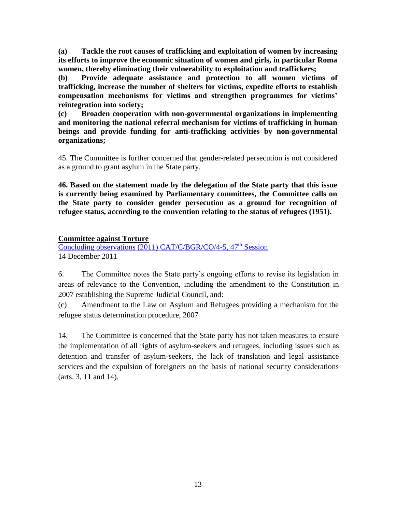**(a) Tackle the root causes of trafficking and exploitation of women by increasing its efforts to improve the economic situation of women and girls, in particular Roma women, thereby eliminating their vulnerability to exploitation and traffickers;**

**(b) Provide adequate assistance and protection to all women victims of trafficking, increase the number of shelters for victims, expedite efforts to establish compensation mechanisms for victims and strengthen programmes for victims' reintegration into society;**

**(c) Broaden cooperation with non-governmental organizations in implementing and monitoring the national referral mechanism for victims of trafficking in human beings and provide funding for anti-trafficking activities by non-governmental organizations;**

45. The Committee is further concerned that gender-related persecution is not considered as a ground to grant asylum in the State party.

**46. Based on the statement made by the delegation of the State party that this issue is currently being examined by Parliamentary committees, the Committee calls on the State party to consider gender persecution as a ground for recognition of refugee status, according to the convention relating to the status of refugees (1951).** 

## **Committee against Torture**

Concluding observations  $(2011)$  CAT/C/BGR/CO/4-5, 47<sup>th</sup> Session 14 December 2011

6. The Committee notes the State party's ongoing efforts to revise its legislation in areas of relevance to the Convention, including the amendment to the Constitution in 2007 establishing the Supreme Judicial Council, and:

(c) Amendment to the Law on Asylum and Refugees providing a mechanism for the refugee status determination procedure, 2007

14. The Committee is concerned that the State party has not taken measures to ensure the implementation of all rights of asylum-seekers and refugees, including issues such as detention and transfer of asylum-seekers, the lack of translation and legal assistance services and the expulsion of foreigners on the basis of national security considerations (arts. 3, 11 and 14).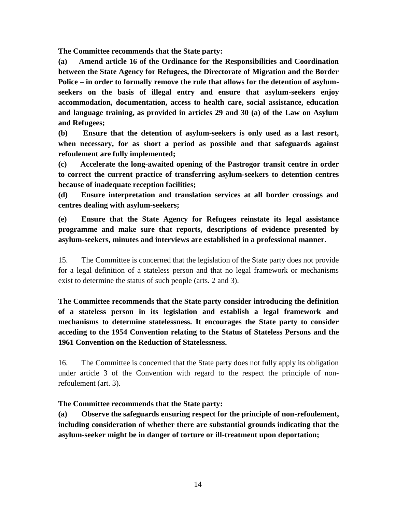**The Committee recommends that the State party:**

**(a) Amend article 16 of the Ordinance for the Responsibilities and Coordination between the State Agency for Refugees, the Directorate of Migration and the Border Police – in order to formally remove the rule that allows for the detention of asylumseekers on the basis of illegal entry and ensure that asylum-seekers enjoy accommodation, documentation, access to health care, social assistance, education and language training, as provided in articles 29 and 30 (a) of the Law on Asylum and Refugees;**

**(b) Ensure that the detention of asylum-seekers is only used as a last resort, when necessary, for as short a period as possible and that safeguards against refoulement are fully implemented;**

**(c) Accelerate the long-awaited opening of the Pastrogor transit centre in order to correct the current practice of transferring asylum-seekers to detention centres because of inadequate reception facilities;**

**(d) Ensure interpretation and translation services at all border crossings and centres dealing with asylum-seekers;**

**(e) Ensure that the State Agency for Refugees reinstate its legal assistance programme and make sure that reports, descriptions of evidence presented by asylum-seekers, minutes and interviews are established in a professional manner.**

15. The Committee is concerned that the legislation of the State party does not provide for a legal definition of a stateless person and that no legal framework or mechanisms exist to determine the status of such people (arts. 2 and 3).

**The Committee recommends that the State party consider introducing the definition of a stateless person in its legislation and establish a legal framework and mechanisms to determine statelessness. It encourages the State party to consider acceding to the 1954 Convention relating to the Status of Stateless Persons and the 1961 Convention on the Reduction of Statelessness.**

16. The Committee is concerned that the State party does not fully apply its obligation under article 3 of the Convention with regard to the respect the principle of nonrefoulement (art. 3).

**The Committee recommends that the State party:**

**(a) Observe the safeguards ensuring respect for the principle of non-refoulement, including consideration of whether there are substantial grounds indicating that the asylum-seeker might be in danger of torture or ill-treatment upon deportation;**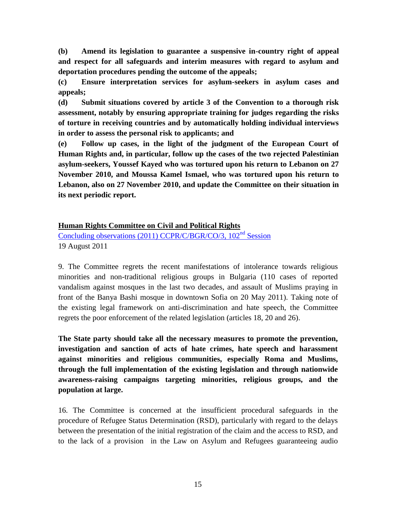**(b) Amend its legislation to guarantee a suspensive in-country right of appeal and respect for all safeguards and interim measures with regard to asylum and deportation procedures pending the outcome of the appeals;**

**(c) Ensure interpretation services for asylum-seekers in asylum cases and appeals;**

**(d) Submit situations covered by article 3 of the Convention to a thorough risk assessment, notably by ensuring appropriate training for judges regarding the risks of torture in receiving countries and by automatically holding individual interviews in order to assess the personal risk to applicants; and**

**(e) Follow up cases, in the light of the judgment of the European Court of Human Rights and, in particular, follow up the cases of the two rejected Palestinian asylum-seekers, Youssef Kayed who was tortured upon his return to Lebanon on 27 November 2010, and Moussa Kamel Ismael, who was tortured upon his return to Lebanon, also on 27 November 2010, and update the Committee on their situation in its next periodic report.**

### **Human Rights Committee on Civil and Political Rights**

[Concluding observations \(2011\) CCPR/C/BGR/CO/3, 102](http://www2.ohchr.org/english/bodies/hrc/hrcs102.htm)<sup>nd</sup> Session 19 August 2011

9. The Committee regrets the recent manifestations of intolerance towards religious minorities and non-traditional religious groups in Bulgaria (110 cases of reported vandalism against mosques in the last two decades, and assault of Muslims praying in front of the Banya Bashi mosque in downtown Sofia on 20 May 2011). Taking note of the existing legal framework on anti-discrimination and hate speech, the Committee regrets the poor enforcement of the related legislation (articles 18, 20 and 26).

**The State party should take all the necessary measures to promote the prevention, investigation and sanction of acts of hate crimes, hate speech and harassment against minorities and religious communities, especially Roma and Muslims, through the full implementation of the existing legislation and through nationwide awareness-raising campaigns targeting minorities, religious groups, and the population at large.** 

16. The Committee is concerned at the insufficient procedural safeguards in the procedure of Refugee Status Determination (RSD), particularly with regard to the delays between the presentation of the initial registration of the claim and the access to RSD, and to the lack of a provision in the Law on Asylum and Refugees guaranteeing audio